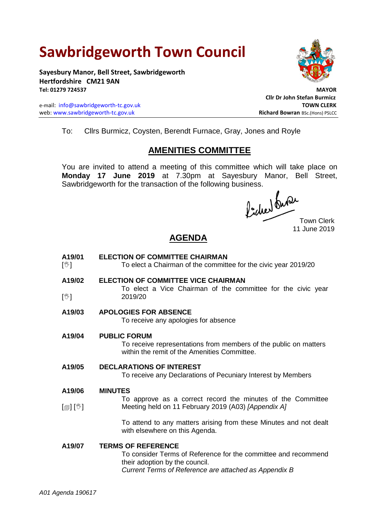# **Sawbridgeworth Town Council**

**Sayesbury Manor, Bell Street, Sawbridgeworth Hertfordshire CM21 9AN Tel: 01279 724537 MAYOR**

e-mail: [info@sawbridgeworth-tc.gov.uk](mailto:info@sawbridgeworth-tc.gov.uk) **TOWN CLERK** web: www.sawbridgeworth-tc.gov.uk<br> **Richard Bowran** BSc.(Hons) PSLCC



**Cllr Dr John Stefan Burmicz**

To: Cllrs Burmicz, Coysten, Berendt Furnace, Gray, Jones and Royle

# **AMENITIES COMMITTEE**

You are invited to attend a meeting of this committee which will take place on **Monday 17 June 2019** at 7.30pm at Sayesbury Manor, Bell Street, Sawbridgeworth for the transaction of the following business.<br>  $\int_{\mathbb{R}} | \cdot | \cdot | \text{d} \mathcal{W}$ 

Town Clerk 11 June 2019

# **AGENDA**

- **A19/01**  $\mathbb{N}$ **ELECTION OF COMMITTEE CHAIRMAN**  To elect a Chairman of the committee for the civic year 2019/20
- **A19/02**  $\mathbb{N}$ **ELECTION OF COMMITTEE VICE CHAIRMAN** To elect a Vice Chairman of the committee for the civic year 2019/20
- **A19/03 APOLOGIES FOR ABSENCE**

To receive any apologies for absence

**A19/04 PUBLIC FORUM**

To receive representations from members of the public on matters within the remit of the Amenities Committee.

**A19/05 DECLARATIONS OF INTEREST**

To receive any Declarations of Pecuniary Interest by Members

#### **A19/06 MINUTES**

 $\lceil$  [ $\mathbb{I}$ ]  $\lceil \mathbb{V} \rceil$ To approve as a correct record the minutes of the Committee Meeting held on 11 February 2019 (A03) *[Appendix A]*

> To attend to any matters arising from these Minutes and not dealt with elsewhere on this Agenda.

### **A19/07 TERMS OF REFERENCE**

To consider Terms of Reference for the committee and recommend their adoption by the council. *Current Terms of Reference are attached as Appendix B*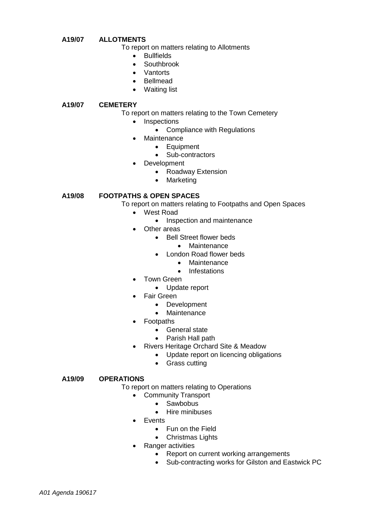#### **A19/07 ALLOTMENTS**

To report on matters relating to Allotments

- Bullfields
- **Southbrook**
- Vantorts
- Bellmead
- Waiting list

#### **A19/07 CEMETERY**

#### To report on matters relating to the Town Cemetery

- Inspections
	- Compliance with Regulations
	- **Maintenance** 
		- Equipment
		- Sub-contractors
- Development
	- Roadway Extension
	- Marketing

#### **A19/08 FOOTPATHS & OPEN SPACES**

- To report on matters relating to Footpaths and Open Spaces
	- West Road
		- Inspection and maintenance
	- Other areas
		- Bell Street flower beds
			- Maintenance
		- London Road flower beds
			- Maintenance
			- Infestations
	- Town Green
		- Update report
	- Fair Green
		- Development
			- **Maintenance**
	- Footpaths
		- General state
		- Parish Hall path
	- Rivers Heritage Orchard Site & Meadow
		- Update report on licencing obligations
		- Grass cutting

#### **A19/09 OPERATIONS**

To report on matters relating to Operations

- Community Transport
	- Sawbobus
	- Hire minibuses
- **•** Fvents
	- Fun on the Field
	- Christmas Lights
- Ranger activities
	- Report on current working arrangements
	- Sub-contracting works for Gilston and Eastwick PC